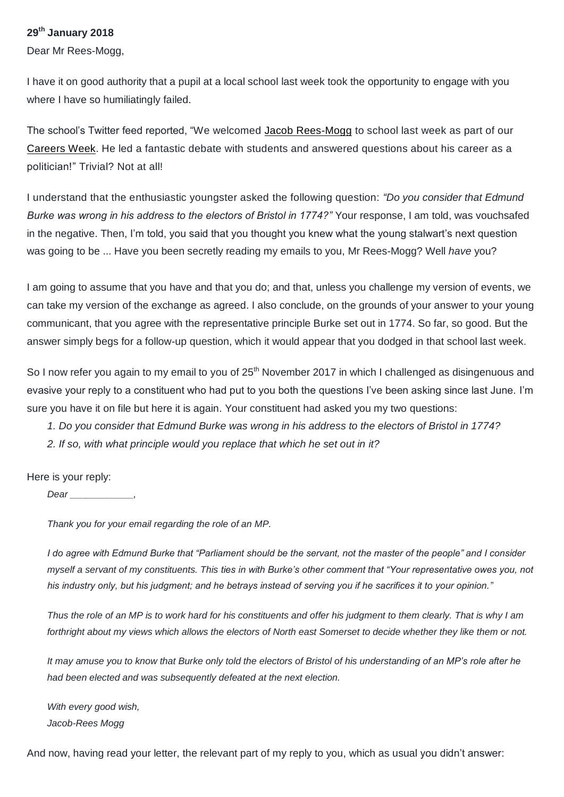## **29th January 2018**

Dear Mr Rees-Mogg,

I have it on good authority that a pupil at a local school last week took the opportunity to engage with you where I have so humiliatingly failed.

The school's Twitter feed reported, "We welcomed [Jacob Rees-Mogg](https://twitter.com/Jacob_Rees_Mogg) to school last week as part of our [Careers Week.](https://twitter.com/hashtag/Careersweek?src=hash) He led a fantastic debate with students and answered questions about his career as a politician!" Trivial? Not at all!

I understand that the enthusiastic youngster asked the following question: *"Do you consider that Edmund Burke was wrong in his address to the electors of Bristol in 1774?"* Your response, I am told, was vouchsafed in the negative. Then, I'm told, you said that you thought you knew what the young stalwart's next question was going to be ... Have you been secretly reading my emails to you, Mr Rees-Mogg? Well *have* you?

I am going to assume that you have and that you do; and that, unless you challenge my version of events, we can take my version of the exchange as agreed. I also conclude, on the grounds of your answer to your young communicant, that you agree with the representative principle Burke set out in 1774. So far, so good. But the answer simply begs for a follow-up question, which it would appear that you dodged in that school last week.

So I now refer you again to my email to you of 25<sup>th</sup> November 2017 in which I challenged as disingenuous and evasive your reply to a constituent who had put to you both the questions I've been asking since last June. I'm sure you have it on file but here it is again. Your constituent had asked you my two questions:

- *1. Do you consider that Edmund Burke was wrong in his address to the electors of Bristol in 1774?*
- *2. If so, with what principle would you replace that which he set out in it?*

Here is your reply:

*Dear \_\_\_\_\_\_\_\_\_\_\_\_,*

*Thank you for your email regarding the role of an MP.*

*I do agree with Edmund Burke that "Parliament should be the servant, not the master of the people" and I consider myself a servant of my constituents. This ties in with Burke's other comment that "Your representative owes you, not his industry only, but his judgment; and he betrays instead of serving you if he sacrifices it to your opinion."*

*Thus the role of an MP is to work hard for his constituents and offer his judgment to them clearly. That is why I am forthright about my views which allows the electors of North east Somerset to decide whether they like them or not.*

*It may amuse you to know that Burke only told the electors of Bristol of his understanding of an MP's role after he had been elected and was subsequently defeated at the next election.*

*With every good wish, Jacob-Rees Mogg*

And now, having read your letter, the relevant part of my reply to you, which as usual you didn't answer: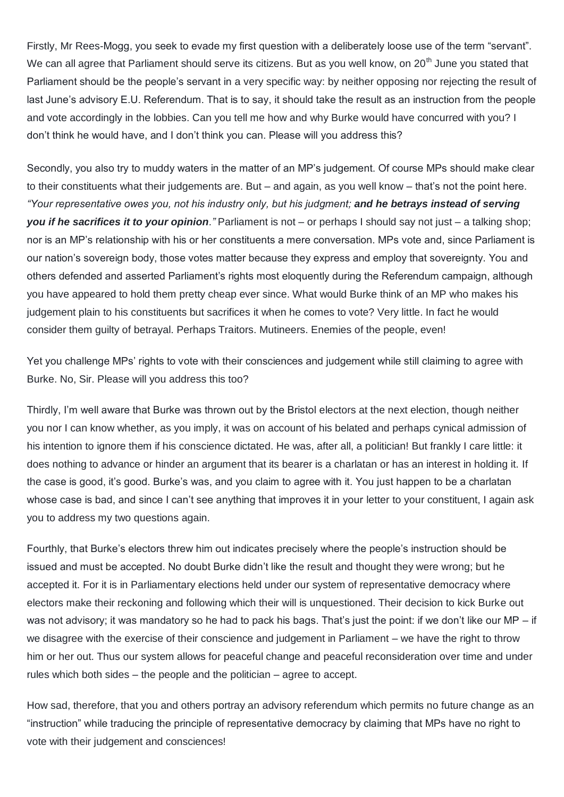Firstly, Mr Rees-Mogg, you seek to evade my first question with a deliberately loose use of the term "servant". We can all agree that Parliament should serve its citizens. But as you well know, on 20<sup>th</sup> June you stated that Parliament should be the people's servant in a very specific way: by neither opposing nor rejecting the result of last June's advisory E.U. Referendum. That is to say, it should take the result as an instruction from the people and vote accordingly in the lobbies. Can you tell me how and why Burke would have concurred with you? I don't think he would have, and I don't think you can. Please will you address this?

Secondly, you also try to muddy waters in the matter of an MP's judgement. Of course MPs should make clear to their constituents what their judgements are. But – and again, as you well know – that's not the point here. *"Your representative owes you, not his industry only, but his judgment; and he betrays instead of serving you if he sacrifices it to your opinion."* Parliament is not – or perhaps I should say not just – a talking shop; nor is an MP's relationship with his or her constituents a mere conversation. MPs vote and, since Parliament is our nation's sovereign body, those votes matter because they express and employ that sovereignty. You and others defended and asserted Parliament's rights most eloquently during the Referendum campaign, although you have appeared to hold them pretty cheap ever since. What would Burke think of an MP who makes his judgement plain to his constituents but sacrifices it when he comes to vote? Very little. In fact he would consider them guilty of betrayal. Perhaps Traitors. Mutineers. Enemies of the people, even!

Yet you challenge MPs' rights to vote with their consciences and judgement while still claiming to agree with Burke. No, Sir. Please will you address this too?

Thirdly, I'm well aware that Burke was thrown out by the Bristol electors at the next election, though neither you nor I can know whether, as you imply, it was on account of his belated and perhaps cynical admission of his intention to ignore them if his conscience dictated. He was, after all, a politician! But frankly I care little: it does nothing to advance or hinder an argument that its bearer is a charlatan or has an interest in holding it. If the case is good, it's good. Burke's was, and you claim to agree with it. You just happen to be a charlatan whose case is bad, and since I can't see anything that improves it in your letter to your constituent, I again ask you to address my two questions again.

Fourthly, that Burke's electors threw him out indicates precisely where the people's instruction should be issued and must be accepted. No doubt Burke didn't like the result and thought they were wrong; but he accepted it. For it is in Parliamentary elections held under our system of representative democracy where electors make their reckoning and following which their will is unquestioned. Their decision to kick Burke out was not advisory; it was mandatory so he had to pack his bags. That's just the point: if we don't like our MP – if we disagree with the exercise of their conscience and judgement in Parliament – we have the right to throw him or her out. Thus our system allows for peaceful change and peaceful reconsideration over time and under rules which both sides – the people and the politician – agree to accept.

How sad, therefore, that you and others portray an advisory referendum which permits no future change as an "instruction" while traducing the principle of representative democracy by claiming that MPs have no right to vote with their judgement and consciences!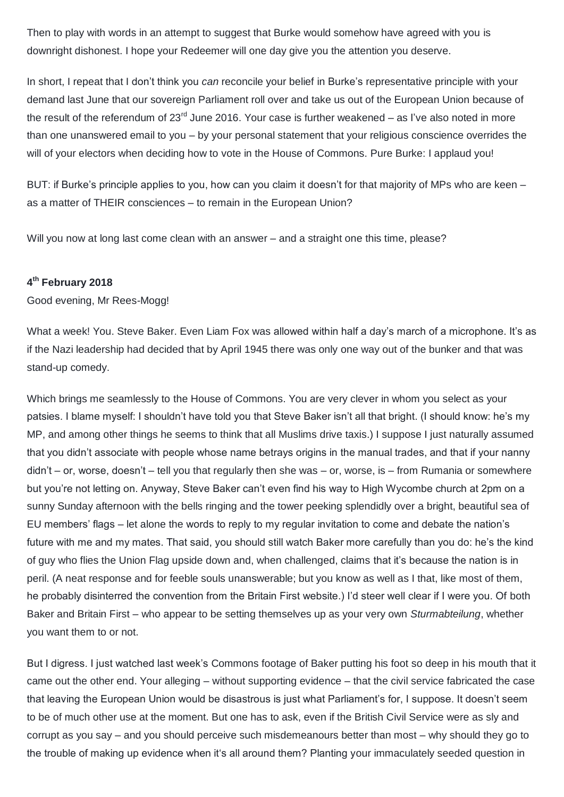Then to play with words in an attempt to suggest that Burke would somehow have agreed with you is downright dishonest. I hope your Redeemer will one day give you the attention you deserve.

In short, I repeat that I don't think you *can* reconcile your belief in Burke's representative principle with your demand last June that our sovereign Parliament roll over and take us out of the European Union because of the result of the referendum of  $23<sup>rd</sup>$  June 2016. Your case is further weakened – as I've also noted in more than one unanswered email to you – by your personal statement that your religious conscience overrides the will of your electors when deciding how to vote in the House of Commons. Pure Burke: I applaud you!

BUT: if Burke's principle applies to you, how can you claim it doesn't for that majority of MPs who are keen – as a matter of THEIR consciences – to remain in the European Union?

Will you now at long last come clean with an answer – and a straight one this time, please?

## **4 th February 2018**

Good evening, Mr Rees-Mogg!

What a week! You. Steve Baker. Even Liam Fox was allowed within half a day's march of a microphone. It's as if the Nazi leadership had decided that by April 1945 there was only one way out of the bunker and that was stand-up comedy.

Which brings me seamlessly to the House of Commons. You are very clever in whom you select as your patsies. I blame myself: I shouldn't have told you that Steve Baker isn't all that bright. (I should know: he's my MP, and among other things he seems to think that all Muslims drive taxis.) I suppose I just naturally assumed that you didn't associate with people whose name betrays origins in the manual trades, and that if your nanny didn't – or, worse, doesn't – tell you that regularly then she was – or, worse, is – from Rumania or somewhere but you're not letting on. Anyway, Steve Baker can't even find his way to High Wycombe church at 2pm on a sunny Sunday afternoon with the bells ringing and the tower peeking splendidly over a bright, beautiful sea of EU members' flags – let alone the words to reply to my regular invitation to come and debate the nation's future with me and my mates. That said, you should still watch Baker more carefully than you do: he's the kind of guy who flies the Union Flag upside down and, when challenged, claims that it's because the nation is in peril. (A neat response and for feeble souls unanswerable; but you know as well as I that, like most of them, he probably disinterred the convention from the Britain First website.) I'd steer well clear if I were you. Of both Baker and Britain First – who appear to be setting themselves up as your very own *Sturmabteilung*, whether you want them to or not.

But I digress. I just watched last week's Commons footage of Baker putting his foot so deep in his mouth that it came out the other end. Your alleging – without supporting evidence – that the civil service fabricated the case that leaving the European Union would be disastrous is just what Parliament's for, I suppose. It doesn't seem to be of much other use at the moment. But one has to ask, even if the British Civil Service were as sly and corrupt as you say – and you should perceive such misdemeanours better than most – why should they go to the trouble of making up evidence when it's all around them? Planting your immaculately seeded question in